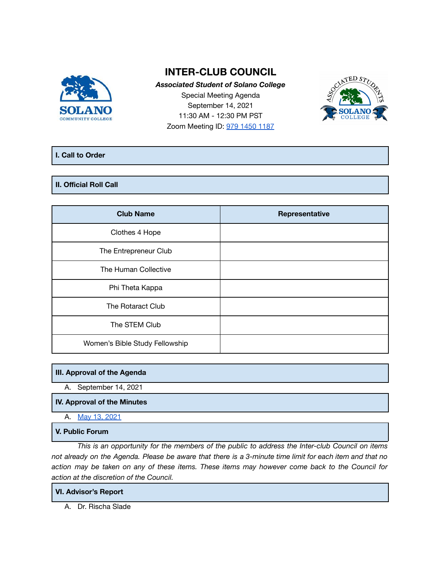

# **INTER-CLUB COUNCIL**

*Associated Student of Solano College* Special Meeting Agenda September 14, 2021 11:30 AM - 12:30 PM PST Zoom Meeting ID: 979 1450 [1187](https://cccconfer.zoom.us/j/97914501187)



## **I. Call to Order**

## **II. Official Roll Call**

| <b>Club Name</b>               | Representative |
|--------------------------------|----------------|
| Clothes 4 Hope                 |                |
| The Entrepreneur Club          |                |
| The Human Collective           |                |
| Phi Theta Kappa                |                |
| The Rotaract Club              |                |
| The STEM Club                  |                |
| Women's Bible Study Fellowship |                |

## **III. Approval of the Agenda**

A. September 14, 2021

## **IV. Approval of the Minutes**

A. May 13, [2021](https://docs.google.com/document/d/1Za9NEzCY8qzOn9FQnMIgWMHvt-4FNzojAY9oP7VgHpk/edit)

## **V. Public Forum**

*This is an opportunity for the members of the public to address the Inter-club Council on items* not already on the Agenda. Please be aware that there is a 3-minute time limit for each item and that no action may be taken on any of these items. These items may however come back to the Council for *action at the discretion of the Council.*

## **VI. Advisor's Report**

A. Dr. Rischa Slade